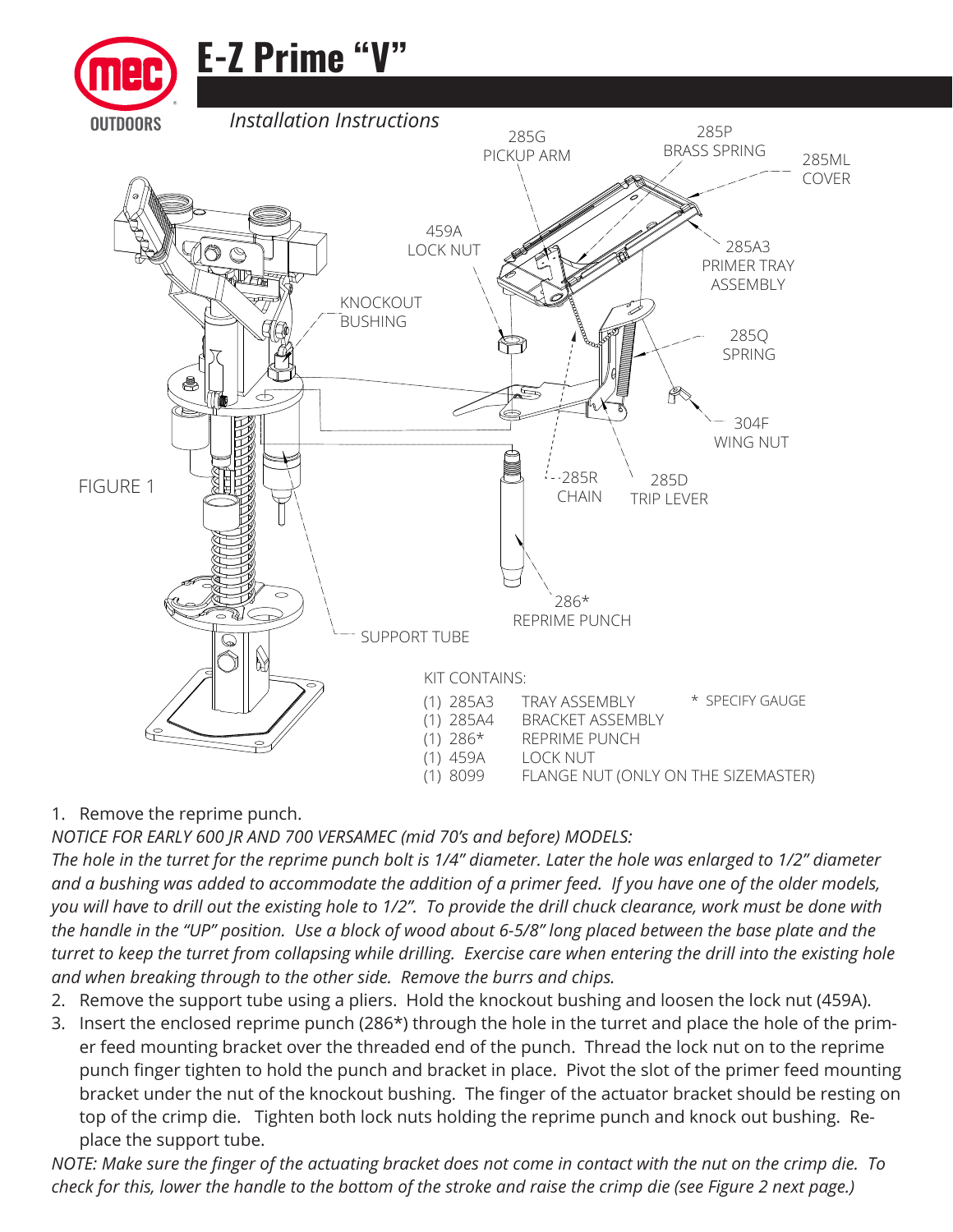

1. Remove the reprime punch.

*NOTICE FOR EARLY 600 JR AND 700 VERSAMEC (mid 70's and before) MODELS:* 

*The hole in the turret for the reprime punch bolt is 1/4" diameter. Later the hole was enlarged to 1/2" diameter and a bushing was added to accommodate the addition of a primer feed. If you have one of the older models, you will have to drill out the existing hole to 1/2". To provide the drill chuck clearance, work must be done with the handle in the "UP" position. Use a block of wood about 6-5/8" long placed between the base plate and the turret to keep the turret from collapsing while drilling. Exercise care when entering the drill into the existing hole and when breaking through to the other side. Remove the burrs and chips.*

- 2. Remove the support tube using a pliers. Hold the knockout bushing and loosen the lock nut (459A).
- 3. Insert the enclosed reprime punch (286\*) through the hole in the turret and place the hole of the primer feed mounting bracket over the threaded end of the punch. Thread the lock nut on to the reprime punch finger tighten to hold the punch and bracket in place. Pivot the slot of the primer feed mounting bracket under the nut of the knockout bushing. The finger of the actuator bracket should be resting on top of the crimp die. Tighten both lock nuts holding the reprime punch and knock out bushing. Replace the support tube.

*NOTE: Make sure the finger of the actuating bracket does not come in contact with the nut on the crimp die. To check for this, lower the handle to the bottom of the stroke and raise the crimp die (see Figure 2 next page.)*